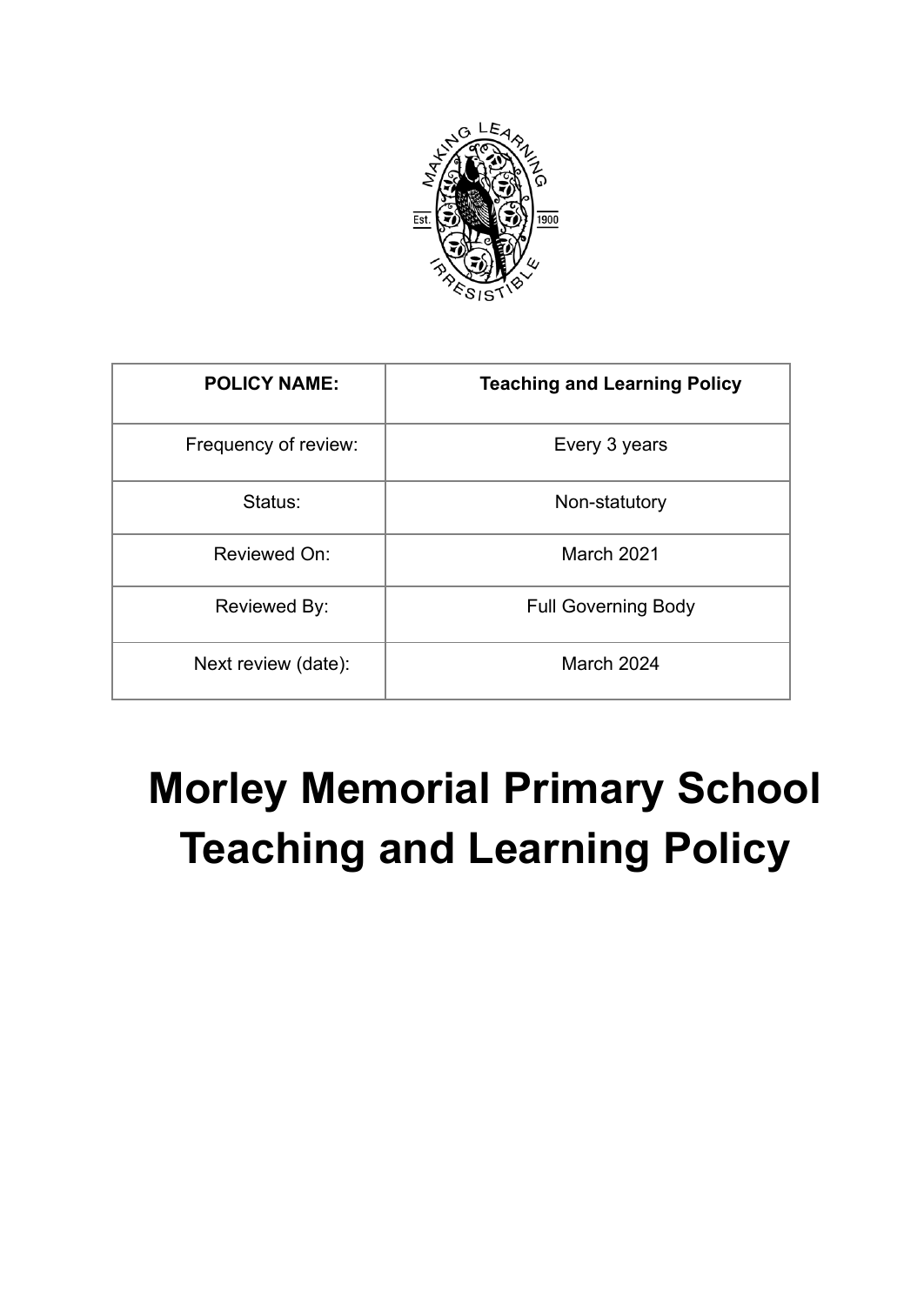

| <b>POLICY NAME:</b>  | <b>Teaching and Learning Policy</b> |
|----------------------|-------------------------------------|
| Frequency of review: | Every 3 years                       |
| Status:              | Non-statutory                       |
| Reviewed On:         | <b>March 2021</b>                   |
| Reviewed By:         | <b>Full Governing Body</b>          |
| Next review (date):  | March 2024                          |

# **Morley Memorial Primary School Teaching and Learning Policy**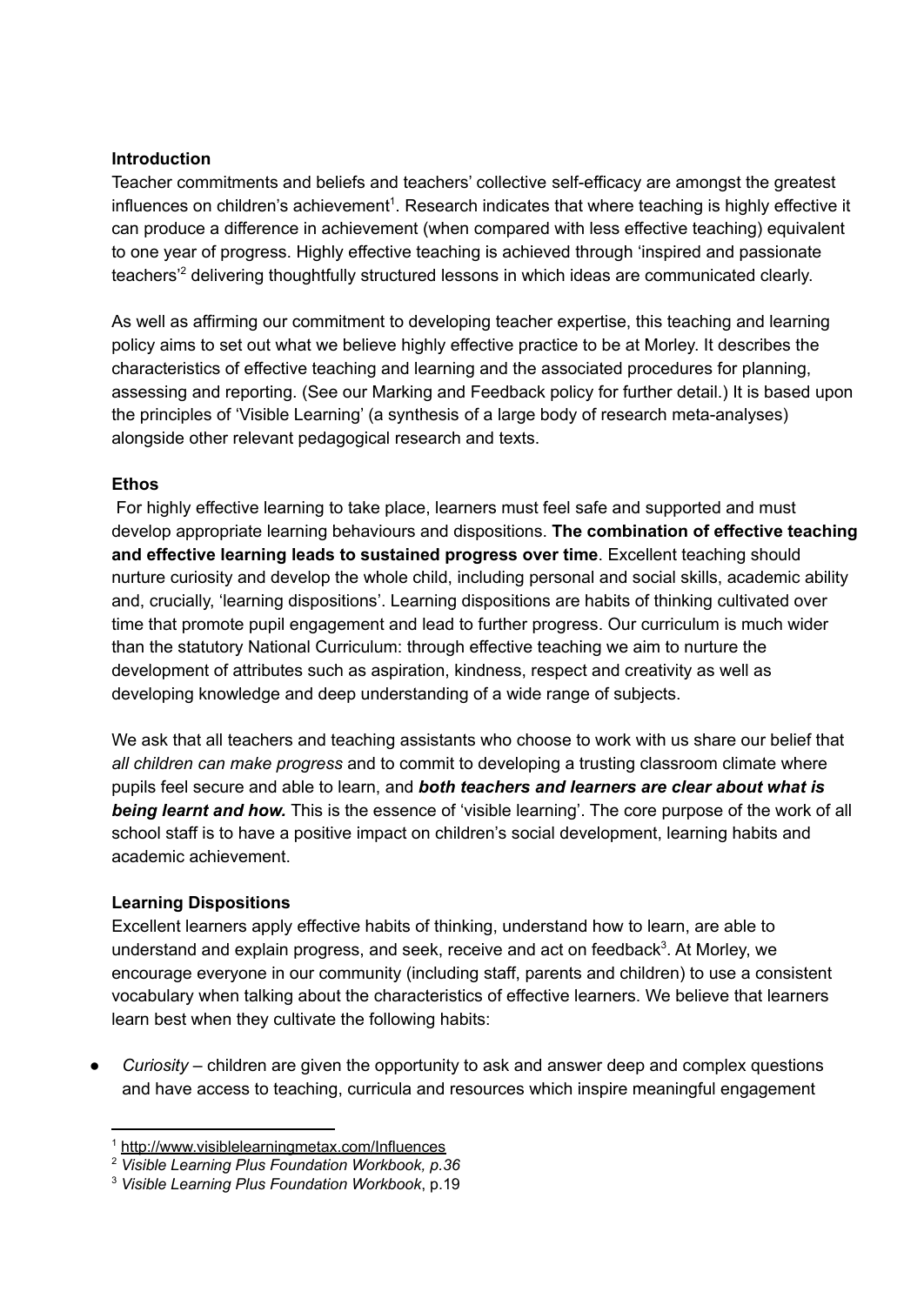#### **Introduction**

Teacher commitments and beliefs and teachers' collective self-efficacy are amongst the greatest influences on children's achievement<sup>1</sup>. Research indicates that where teaching is highly effective it can produce a difference in achievement (when compared with less effective teaching) equivalent to one year of progress. Highly effective teaching is achieved through 'inspired and passionate teachers<sup>'2</sup> delivering thoughtfully structured lessons in which ideas are communicated clearly.

As well as affirming our commitment to developing teacher expertise, this teaching and learning policy aims to set out what we believe highly effective practice to be at Morley. It describes the characteristics of effective teaching and learning and the associated procedures for planning, assessing and reporting. (See our Marking and Feedback policy for further detail.) It is based upon the principles of 'Visible Learning' (a synthesis of a large body of research meta-analyses) alongside other relevant pedagogical research and texts.

#### **Ethos**

For highly effective learning to take place, learners must feel safe and supported and must develop appropriate learning behaviours and dispositions. **The combination of effective teaching and effective learning leads to sustained progress over time**. Excellent teaching should nurture curiosity and develop the whole child, including personal and social skills, academic ability and, crucially, 'learning dispositions'. Learning dispositions are habits of thinking cultivated over time that promote pupil engagement and lead to further progress. Our curriculum is much wider than the statutory National Curriculum: through effective teaching we aim to nurture the development of attributes such as aspiration, kindness, respect and creativity as well as developing knowledge and deep understanding of a wide range of subjects.

We ask that all teachers and teaching assistants who choose to work with us share our belief that *all children can make progress* and to commit to developing a trusting classroom climate where pupils feel secure and able to learn, and *both teachers and learners are clear about what is being learnt and how.* This is the essence of 'visible learning'. The core purpose of the work of all school staff is to have a positive impact on children's social development, learning habits and academic achievement.

## **Learning Dispositions**

Excellent learners apply effective habits of thinking, understand how to learn, are able to understand and explain progress, and seek, receive and act on feedback<sup>3</sup>. At Morley, we encourage everyone in our community (including staff, parents and children) to use a consistent vocabulary when talking about the characteristics of effective learners. We believe that learners learn best when they cultivate the following habits:

● *Curiosity* – children are given the opportunity to ask and answer deep and complex questions and have access to teaching, curricula and resources which inspire meaningful engagement

<sup>1</sup> <http://www.visiblelearningmetax.com/Influences>

<sup>2</sup> *Visible Learning Plus Foundation Workbook, p.36*

<sup>3</sup> *Visible Learning Plus Foundation Workbook*, p.19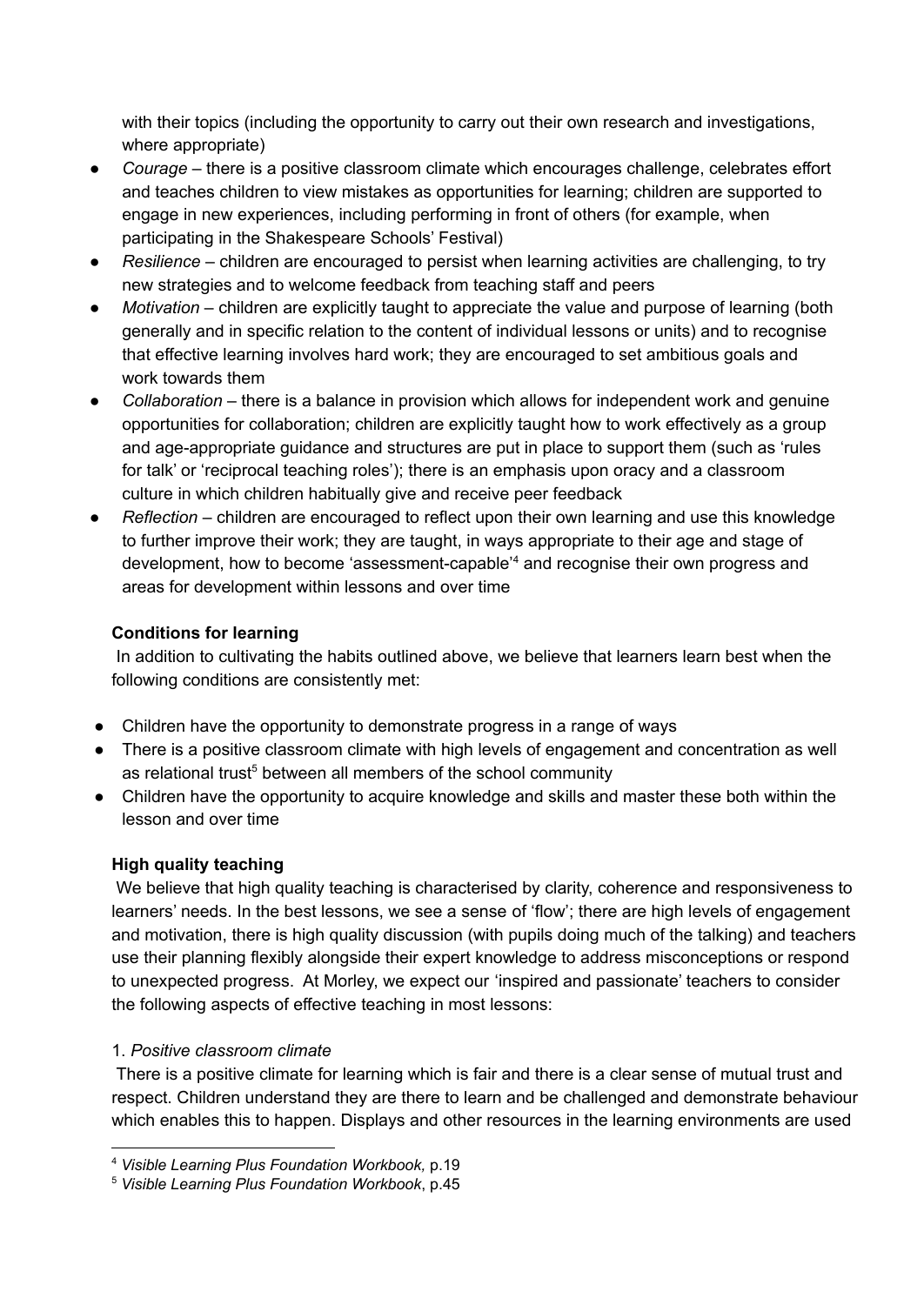with their topics (including the opportunity to carry out their own research and investigations, where appropriate)

- *Courage* there is a positive classroom climate which encourages challenge, celebrates effort and teaches children to view mistakes as opportunities for learning; children are supported to engage in new experiences, including performing in front of others (for example, when participating in the Shakespeare Schools' Festival)
- *Resilience* children are encouraged to persist when learning activities are challenging, to try new strategies and to welcome feedback from teaching staff and peers
- *Motivation* children are explicitly taught to appreciate the value and purpose of learning (both generally and in specific relation to the content of individual lessons or units) and to recognise that effective learning involves hard work; they are encouraged to set ambitious goals and work towards them
- *Collaboration* there is a balance in provision which allows for independent work and genuine opportunities for collaboration; children are explicitly taught how to work effectively as a group and age-appropriate guidance and structures are put in place to support them (such as 'rules for talk' or 'reciprocal teaching roles'); there is an emphasis upon oracy and a classroom culture in which children habitually give and receive peer feedback
- *Reflection* children are encouraged to reflect upon their own learning and use this knowledge to further improve their work; they are taught, in ways appropriate to their age and stage of development, how to become 'assessment-capable<sup>'4</sup> and recognise their own progress and areas for development within lessons and over time

## **Conditions for learning**

In addition to cultivating the habits outlined above, we believe that learners learn best when the following conditions are consistently met:

- Children have the opportunity to demonstrate progress in a range of ways
- There is a positive classroom climate with high levels of engagement and concentration as well as relational trust<sup>5</sup> between all members of the school community
- Children have the opportunity to acquire knowledge and skills and master these both within the lesson and over time

## **High quality teaching**

We believe that high quality teaching is characterised by clarity, coherence and responsiveness to learners' needs. In the best lessons, we see a sense of 'flow'; there are high levels of engagement and motivation, there is high quality discussion (with pupils doing much of the talking) and teachers use their planning flexibly alongside their expert knowledge to address misconceptions or respond to unexpected progress. At Morley, we expect our 'inspired and passionate' teachers to consider the following aspects of effective teaching in most lessons:

## 1. *Positive classroom climate*

There is a positive climate for learning which is fair and there is a clear sense of mutual trust and respect. Children understand they are there to learn and be challenged and demonstrate behaviour which enables this to happen. Displays and other resources in the learning environments are used

<sup>4</sup> *Visible Learning Plus Foundation Workbook,* p.19

<sup>5</sup> *Visible Learning Plus Foundation Workbook*, p.45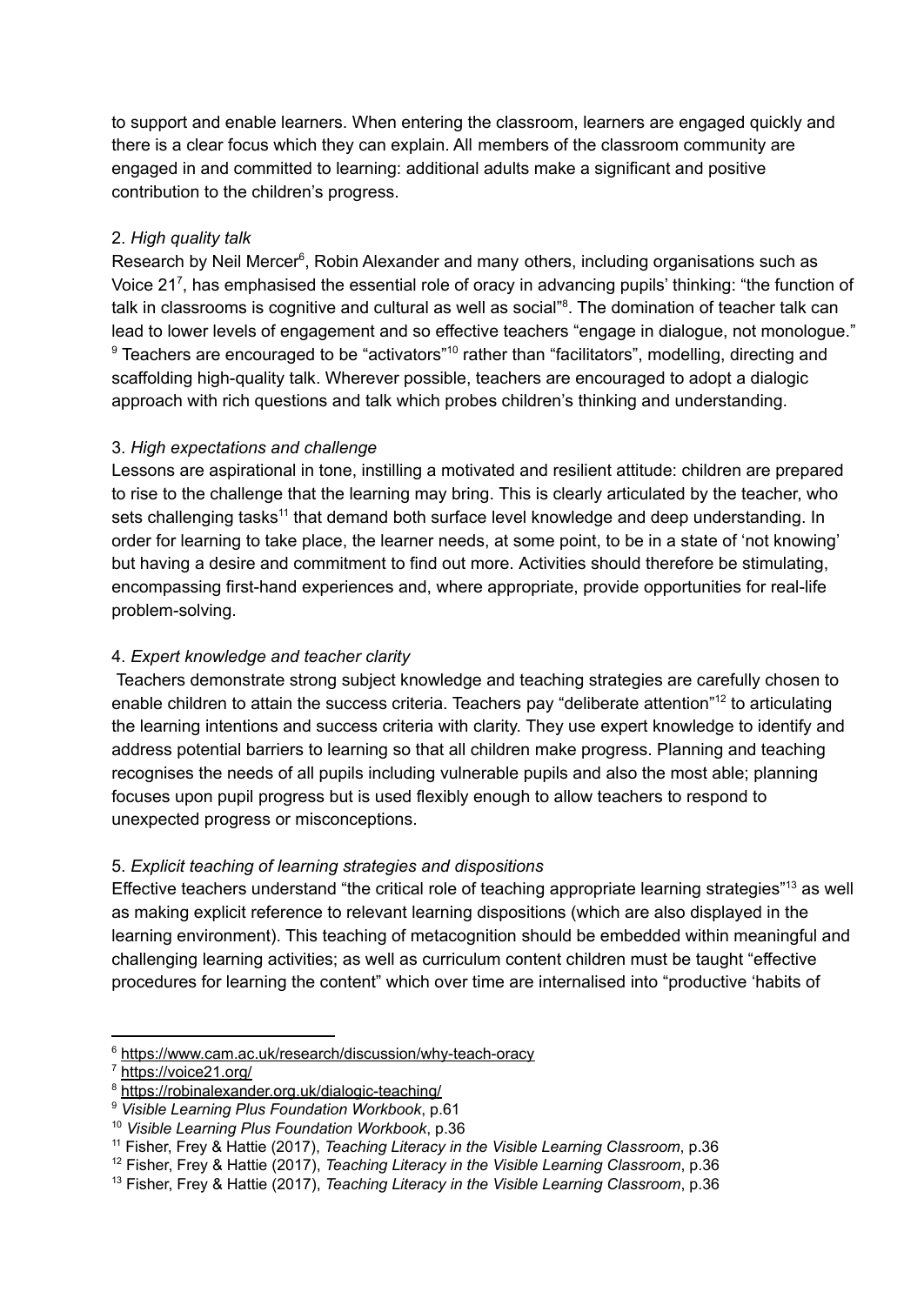to support and enable learners. When entering the classroom, learners are engaged quickly and there is a clear focus which they can explain. All members of the classroom community are engaged in and committed to learning: additional adults make a significant and positive contribution to the children's progress.

## 2. *High quality talk*

Research by Neil Mercer<sup>6</sup>, Robin Alexander and many others, including organisations such as Voice 21<sup>7</sup>, has emphasised the essential role of oracy in advancing pupils' thinking: "the function of talk in classrooms is cognitive and cultural as well as social"<sup>8</sup>. The domination of teacher talk can lead to lower levels of engagement and so effective teachers "engage in dialogue, not monologue."  $9$  Teachers are encouraged to be "activators"<sup>10</sup> rather than "facilitators", modelling, directing and scaffolding high-quality talk. Wherever possible, teachers are encouraged to adopt a dialogic approach with rich questions and talk which probes children's thinking and understanding.

## 3. *High expectations and challenge*

Lessons are aspirational in tone, instilling a motivated and resilient attitude: children are prepared to rise to the challenge that the learning may bring. This is clearly articulated by the teacher, who sets challenging tasks<sup>11</sup> that demand both surface level knowledge and deep understanding. In order for learning to take place, the learner needs, at some point, to be in a state of 'not knowing' but having a desire and commitment to find out more. Activities should therefore be stimulating, encompassing first-hand experiences and, where appropriate, provide opportunities for real-life problem-solving.

# 4. *Expert knowledge and teacher clarity*

Teachers demonstrate strong subject knowledge and teaching strategies are carefully chosen to enable children to attain the success criteria. Teachers pay "deliberate attention"<sup>12</sup> to articulating the learning intentions and success criteria with clarity. They use expert knowledge to identify and address potential barriers to learning so that all children make progress. Planning and teaching recognises the needs of all pupils including vulnerable pupils and also the most able; planning focuses upon pupil progress but is used flexibly enough to allow teachers to respond to unexpected progress or misconceptions.

# 5. *Explicit teaching of learning strategies and dispositions*

Effective teachers understand "the critical role of teaching appropriate learning strategies"<sup>13</sup> as well as making explicit reference to relevant learning dispositions (which are also displayed in the learning environment). This teaching of metacognition should be embedded within meaningful and challenging learning activities; as well as curriculum content children must be taught "effective procedures for learning the content" which over time are internalised into "productive 'habits of

<sup>6</sup> <https://www.cam.ac.uk/research/discussion/why-teach-oracy>

<https://voice21.org/>

<sup>8</sup> <https://robinalexander.org.uk/dialogic-teaching/>

<sup>9</sup> *Visible Learning Plus Foundation Workbook*, p.61

<sup>10</sup> *Visible Learning Plus Foundation Workbook*, p.36

<sup>11</sup> Fisher, Frey & Hattie (2017), *Teaching Literacy in the Visible Learning Classroom*, p.36

<sup>12</sup> Fisher, Frey & Hattie (2017), *Teaching Literacy in the Visible Learning Classroom*, p.36

<sup>13</sup> Fisher, Frey & Hattie (2017), *Teaching Literacy in the Visible Learning Classroom*, p.36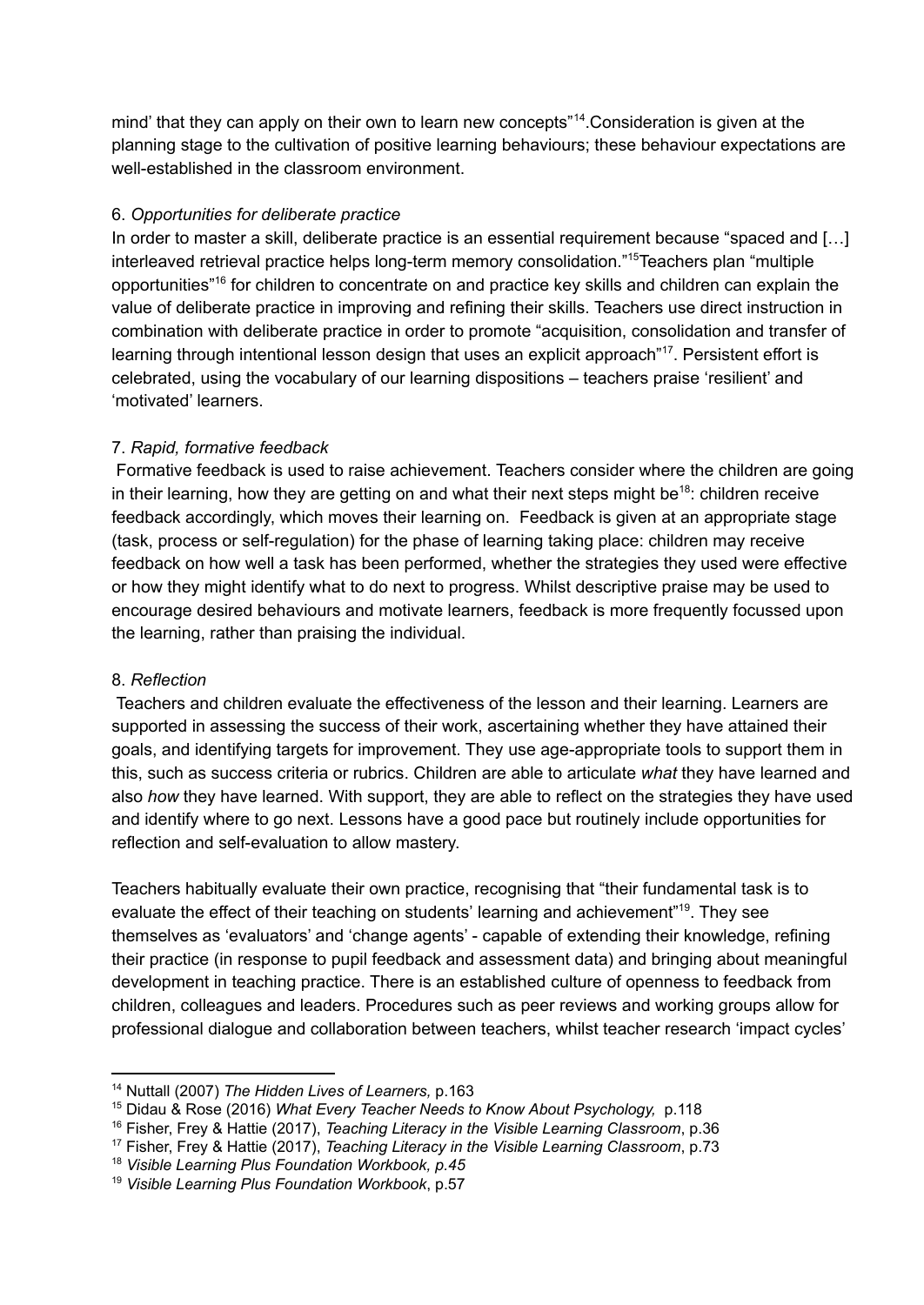mind' that they can apply on their own to learn new concepts"<sup>14</sup>. Consideration is given at the planning stage to the cultivation of positive learning behaviours; these behaviour expectations are well-established in the classroom environment.

#### 6. *Opportunities for deliberate practice*

In order to master a skill, deliberate practice is an essential requirement because "spaced and […] interleaved retrieval practice helps long-term memory consolidation."<sup>15</sup>Teachers plan "multiple opportunities"<sup>16</sup> for children to concentrate on and practice key skills and children can explain the value of deliberate practice in improving and refining their skills. Teachers use direct instruction in combination with deliberate practice in order to promote "acquisition, consolidation and transfer of learning through intentional lesson design that uses an explicit approach"<sup>17</sup>. Persistent effort is celebrated, using the vocabulary of our learning dispositions – teachers praise 'resilient' and 'motivated' learners.

## 7. *Rapid, formative feedback*

Formative feedback is used to raise achievement. Teachers consider where the children are going in their learning, how they are getting on and what their next steps might be<sup>18</sup>: children receive feedback accordingly, which moves their learning on. Feedback is given at an appropriate stage (task, process or self-regulation) for the phase of learning taking place: children may receive feedback on how well a task has been performed, whether the strategies they used were effective or how they might identify what to do next to progress. Whilst descriptive praise may be used to encourage desired behaviours and motivate learners, feedback is more frequently focussed upon the learning, rather than praising the individual.

## 8. *Reflection*

Teachers and children evaluate the effectiveness of the lesson and their learning. Learners are supported in assessing the success of their work, ascertaining whether they have attained their goals, and identifying targets for improvement. They use age-appropriate tools to support them in this, such as success criteria or rubrics. Children are able to articulate *what* they have learned and also *how* they have learned. With support, they are able to reflect on the strategies they have used and identify where to go next. Lessons have a good pace but routinely include opportunities for reflection and self-evaluation to allow mastery.

Teachers habitually evaluate their own practice, recognising that "their fundamental task is to evaluate the effect of their teaching on students' learning and achievement"<sup>19</sup>. They see themselves as 'evaluators' and 'change agents' - capable of extending their knowledge, refining their practice (in response to pupil feedback and assessment data) and bringing about meaningful development in teaching practice. There is an established culture of openness to feedback from children, colleagues and leaders. Procedures such as peer reviews and working groups allow for professional dialogue and collaboration between teachers, whilst teacher research 'impact cycles'

<sup>14</sup> Nuttall (2007) *The Hidden Lives of Learners,* p.163

<sup>15</sup> Didau & Rose (2016) *What Every Teacher Needs to Know About Psychology,* p.118

<sup>16</sup> Fisher, Frey & Hattie (2017), *Teaching Literacy in the Visible Learning Classroom*, p.36

<sup>17</sup> Fisher, Frey & Hattie (2017), *Teaching Literacy in the Visible Learning Classroom*, p.73

<sup>18</sup> *Visible Learning Plus Foundation Workbook, p.45*

<sup>19</sup> *Visible Learning Plus Foundation Workbook*, p.57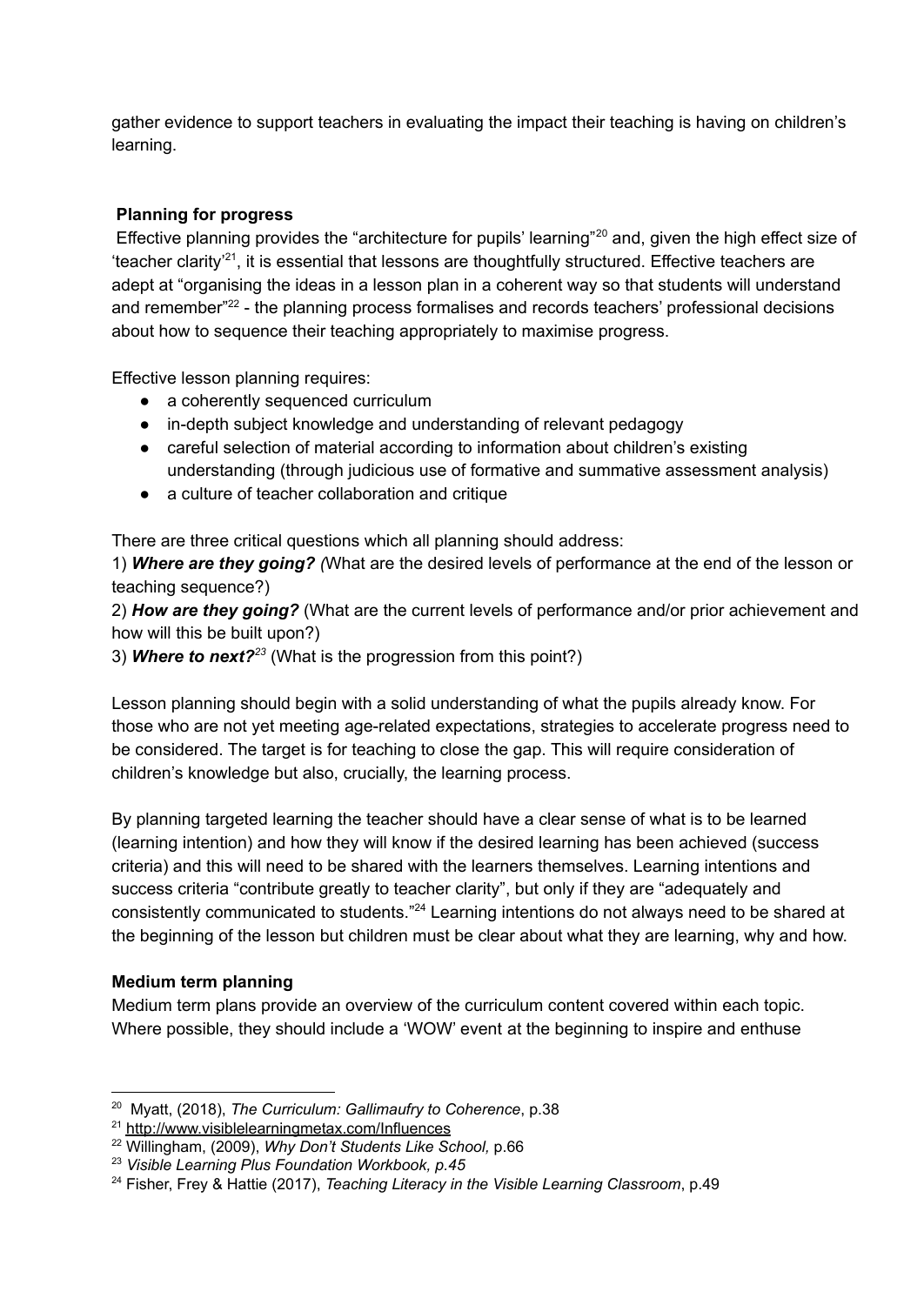gather evidence to support teachers in evaluating the impact their teaching is having on children's learning.

## **Planning for progress**

Effective planning provides the "architecture for pupils' learning"<sup>20</sup> and, given the high effect size of "teacher clarity<sup>'21</sup>, it is essential that lessons are thoughtfully structured. Effective teachers are adept at "organising the ideas in a lesson plan in a coherent way so that students will understand and remember<sup>"22</sup> - the planning process formalises and records teachers' professional decisions about how to sequence their teaching appropriately to maximise progress.

Effective lesson planning requires:

- a coherently sequenced curriculum
- in-depth subject knowledge and understanding of relevant pedagogy
- careful selection of material according to information about children's existing understanding (through judicious use of formative and summative assessment analysis)
- a culture of teacher collaboration and critique

There are three critical questions which all planning should address:

1) *Where are they going? (*What are the desired levels of performance at the end of the lesson or teaching sequence?)

2) *How are they going?* (What are the current levels of performance and/or prior achievement and how will this be built upon?)

3) *Where to next?* (What is the progression from this point?) *23*

Lesson planning should begin with a solid understanding of what the pupils already know. For those who are not yet meeting age-related expectations, strategies to accelerate progress need to be considered. The target is for teaching to close the gap. This will require consideration of children's knowledge but also, crucially, the learning process.

By planning targeted learning the teacher should have a clear sense of what is to be learned (learning intention) and how they will know if the desired learning has been achieved (success criteria) and this will need to be shared with the learners themselves. Learning intentions and success criteria "contribute greatly to teacher clarity", but only if they are "adequately and consistently communicated to students." $24$  Learning intentions do not always need to be shared at the beginning of the lesson but children must be clear about what they are learning, why and how.

## **Medium term planning**

Medium term plans provide an overview of the curriculum content covered within each topic. Where possible, they should include a 'WOW' event at the beginning to inspire and enthuse

<sup>20</sup> Myatt, (2018), *The Curriculum: Gallimaufry to Coherence*, p.38

<sup>21</sup> <http://www.visiblelearningmetax.com/Influences>

<sup>22</sup> Willingham, (2009), *Why Don't Students Like School,* p.66

<sup>23</sup> *Visible Learning Plus Foundation Workbook, p.45*

<sup>24</sup> Fisher, Frey & Hattie (2017), *Teaching Literacy in the Visible Learning Classroom*, p.49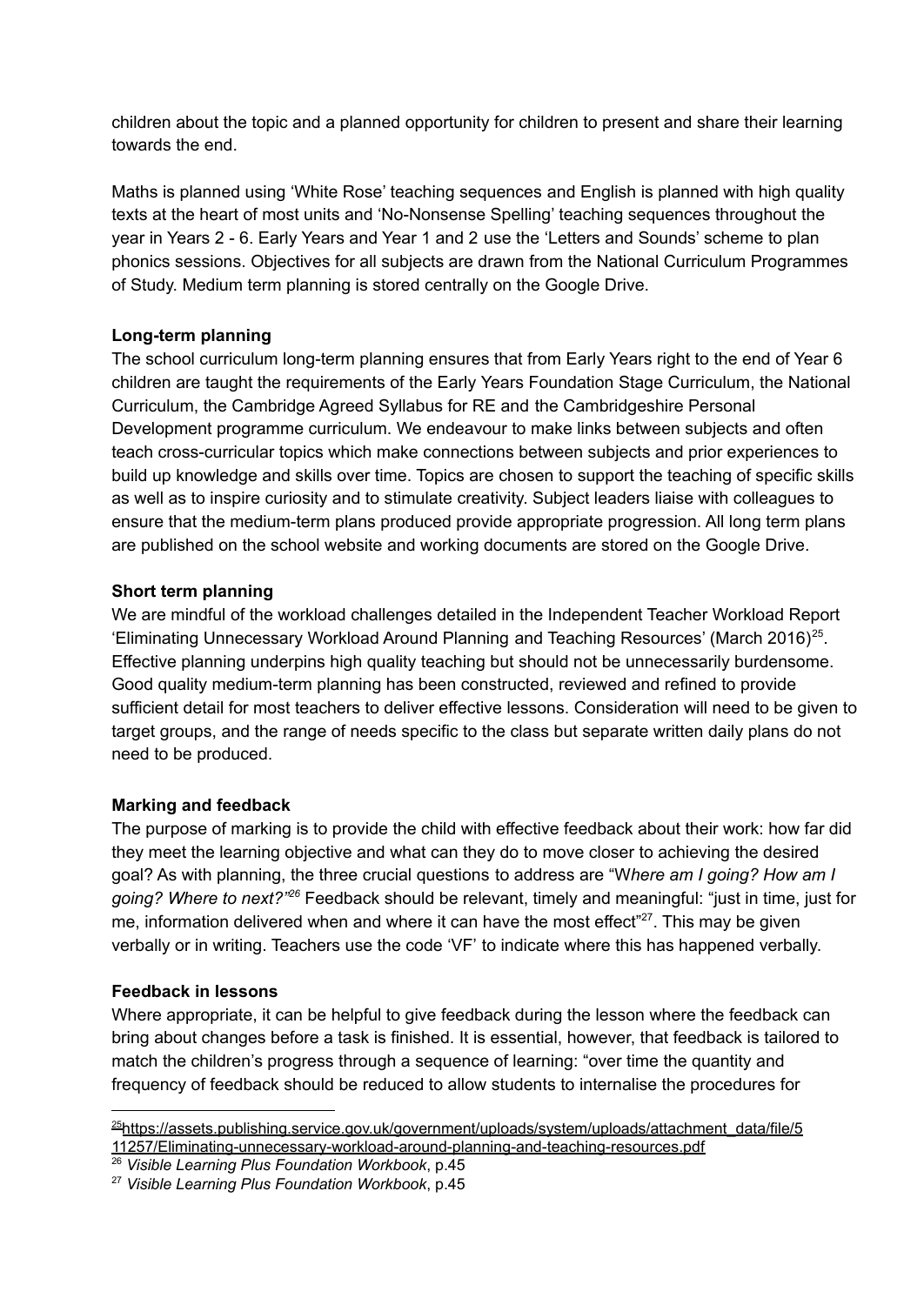children about the topic and a planned opportunity for children to present and share their learning towards the end.

Maths is planned using 'White Rose' teaching sequences and English is planned with high quality texts at the heart of most units and 'No-Nonsense Spelling' teaching sequences throughout the year in Years 2 - 6. Early Years and Year 1 and 2 use the 'Letters and Sounds' scheme to plan phonics sessions. Objectives for all subjects are drawn from the National Curriculum Programmes of Study. Medium term planning is stored centrally on the Google Drive.

#### **Long-term planning**

The school curriculum long-term planning ensures that from Early Years right to the end of Year 6 children are taught the requirements of the Early Years Foundation Stage Curriculum, the National Curriculum, the Cambridge Agreed Syllabus for RE and the Cambridgeshire Personal Development programme curriculum. We endeavour to make links between subjects and often teach cross-curricular topics which make connections between subjects and prior experiences to build up knowledge and skills over time. Topics are chosen to support the teaching of specific skills as well as to inspire curiosity and to stimulate creativity. Subject leaders liaise with colleagues to ensure that the medium-term plans produced provide appropriate progression. All long term plans are published on the school website and working documents are stored on the Google Drive.

#### **Short term planning**

We are mindful of the workload challenges detailed in the Independent Teacher Workload Report 'Eliminating Unnecessary Workload Around Planning and Teaching Resources' (March 2016)<sup>25</sup>. Effective planning underpins high quality teaching but should not be unnecessarily burdensome. Good quality medium-term planning has been constructed, reviewed and refined to provide sufficient detail for most teachers to deliver effective lessons. Consideration will need to be given to target groups, and the range of needs specific to the class but separate written daily plans do not need to be produced.

## **Marking and feedback**

The purpose of marking is to provide the child with effective feedback about their work: how far did they meet the learning objective and what can they do to move closer to achieving the desired goal? As with planning, the three crucial questions to address are "W*here am I going? How am I* going? Where to next?<sup>"26</sup> Feedback should be relevant, timely and meaningful: "just in time, just for me, information delivered when and where it can have the most effect" $27$ . This may be given verbally or in writing. Teachers use the code 'VF' to indicate where this has happened verbally.

## **Feedback in lessons**

Where appropriate, it can be helpful to give feedback during the lesson where the feedback can bring about changes before a task is finished. It is essential, however, that feedback is tailored to match the children's progress through a sequence of learning: "over time the quantity and frequency of feedback should be reduced to allow students to internalise the procedures for

<sup>&</sup>lt;sup>25</sup>[https://assets.publishing.service.gov.uk/government/uploads/system/uploads/attachment\\_data/file/5](https://assets.publishing.service.gov.uk/government/uploads/system/uploads/attachment_data/file/511257/Eliminating-unnecessary-workload-around-planning-and-teaching-resources.pdf) [11257/Eliminating-unnecessary-workload-around-planning-and-teaching-resources.pdf](https://assets.publishing.service.gov.uk/government/uploads/system/uploads/attachment_data/file/511257/Eliminating-unnecessary-workload-around-planning-and-teaching-resources.pdf)

<sup>26</sup> *Visible Learning Plus Foundation Workbook*, p.45

<sup>27</sup> *Visible Learning Plus Foundation Workbook*, p.45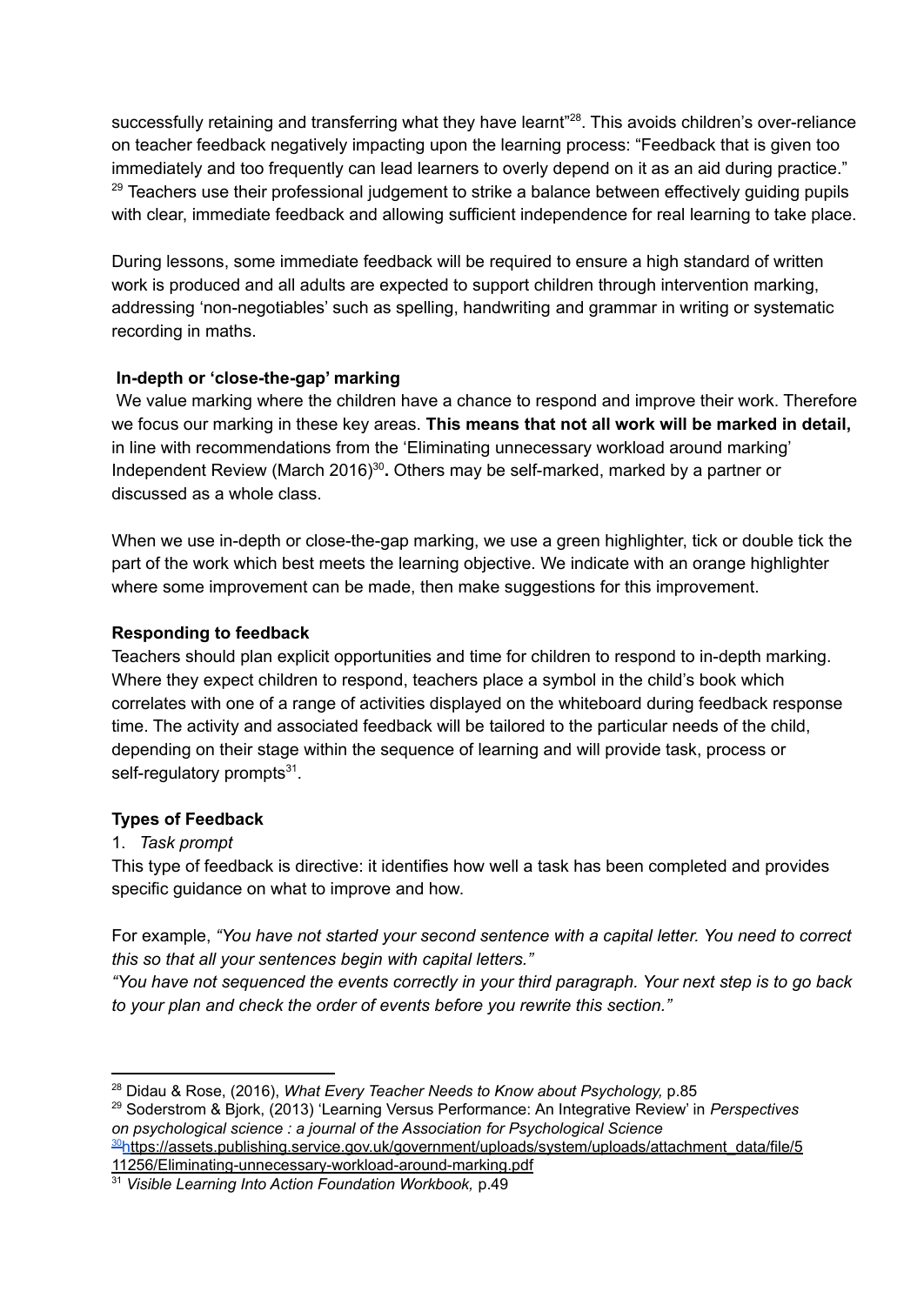successfully retaining and transferring what they have learnt"<sup>28</sup>. This avoids children's over-reliance on teacher feedback negatively impacting upon the learning process: "Feedback that is given too immediately and too frequently can lead learners to overly depend on it as an aid during practice."  $29$  Teachers use their professional judgement to strike a balance between effectively guiding pupils with clear, immediate feedback and allowing sufficient independence for real learning to take place.

During lessons, some immediate feedback will be required to ensure a high standard of written work is produced and all adults are expected to support children through intervention marking, addressing 'non-negotiables' such as spelling, handwriting and grammar in writing or systematic recording in maths.

## **In-depth or 'close-the-gap' marking**

We value marking where the children have a chance to respond and improve their work. Therefore we focus our marking in these key areas. **This means that not all work will be marked in detail,** in line with recommendations from the 'Eliminating unnecessary workload around marking' Independent Review (March 2016)<sup>30</sup>. Others may be self-marked, marked by a partner or discussed as a whole class.

When we use in-depth or close-the-gap marking, we use a green highlighter, tick or double tick the part of the work which best meets the learning objective. We indicate with an orange highlighter where some improvement can be made, then make suggestions for this improvement.

## **Responding to feedback**

Teachers should plan explicit opportunities and time for children to respond to in-depth marking. Where they expect children to respond, teachers place a symbol in the child's book which correlates with one of a range of activities displayed on the whiteboard during feedback response time. The activity and associated feedback will be tailored to the particular needs of the child, depending on their stage within the sequence of learning and will provide task, process or self-regulatory prompts $^{31}$ .

# **Types of Feedback**

# 1. *Task prompt*

This type of feedback is directive: it identifies how well a task has been completed and provides specific guidance on what to improve and how.

For example, *"You have not started your second sentence with a capital letter. You need to correct this so that all your sentences begin with capital letters."*

*"You have not sequenced the events correctly in your third paragraph. Your next step is to go back to your plan and check the order of events before you rewrite this section."*

<sup>28</sup> Didau & Rose, (2016), *What Every Teacher Needs to Know about Psychology,* p.85

<sup>29</sup> Soderstrom & Bjork, (2013) 'Learning Versus Performance: An Integrative Review' in *Perspectives on psychological science : a journal of the Association for Psychological Science*

<sup>&</sup>lt;sup>30</sup>[https://assets.publishing.service.gov.uk/government/uploads/system/uploads/attachment\\_data/file/5](https://assets.publishing.service.gov.uk/government/uploads/system/uploads/attachment_data/file/511256/Eliminating-unnecessary-workload-around-marking.pdf) [11256/Eliminating-unnecessary-workload-around-marking.pdf](https://assets.publishing.service.gov.uk/government/uploads/system/uploads/attachment_data/file/511256/Eliminating-unnecessary-workload-around-marking.pdf)

<sup>31</sup> *Visible Learning Into Action Foundation Workbook,* p.49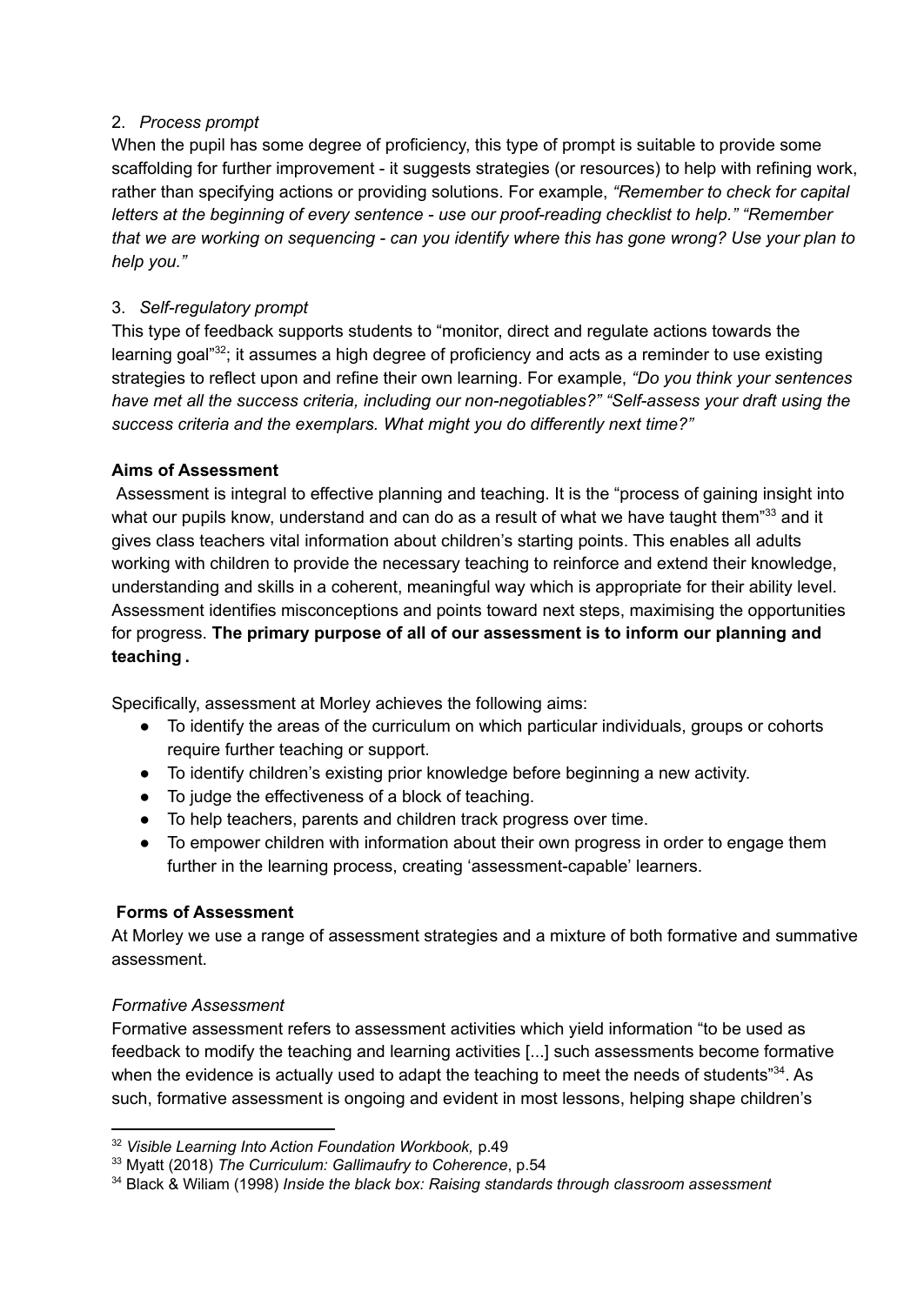## 2. *Process prompt*

When the pupil has some degree of proficiency, this type of prompt is suitable to provide some scaffolding for further improvement - it suggests strategies (or resources) to help with refining work, rather than specifying actions or providing solutions. For example, *"Remember to check for capital letters at the beginning of every sentence - use our proof-reading checklist to help." "Remember* that we are working on seguencing - can you identify where this has gone wrong? Use your plan to *help you."*

# 3. *Self-regulatory prompt*

This type of feedback supports students to "monitor, direct and regulate actions towards the learning goal" $32$ ; it assumes a high degree of proficiency and acts as a reminder to use existing strategies to reflect upon and refine their own learning. For example, *"Do you think your sentences have met all the success criteria, including our non-negotiables?" "Self-assess your draft using the success criteria and the exemplars. What might you do differently next time?"*

## **Aims of Assessment**

Assessment is integral to effective planning and teaching. It is the "process of gaining insight into what our pupils know, understand and can do as a result of what we have taught them" $^{33}$  and it gives class teachers vital information about children's starting points. This enables all adults working with children to provide the necessary teaching to reinforce and extend their knowledge, understanding and skills in a coherent, meaningful way which is appropriate for their ability level. Assessment identifies misconceptions and points toward next steps, maximising the opportunities for progress. **The primary purpose of all of our assessment is to inform our planning and teaching .**

Specifically, assessment at Morley achieves the following aims:

- To identify the areas of the curriculum on which particular individuals, groups or cohorts require further teaching or support.
- To identify children's existing prior knowledge before beginning a new activity.
- To judge the effectiveness of a block of teaching.
- To help teachers, parents and children track progress over time.
- To empower children with information about their own progress in order to engage them further in the learning process, creating 'assessment-capable' learners.

# **Forms of Assessment**

At Morley we use a range of assessment strategies and a mixture of both formative and summative assessment.

# *Formative Assessment*

Formative assessment refers to assessment activities which yield information "to be used as feedback to modify the teaching and learning activities [...] such assessments become formative when the evidence is actually used to adapt the teaching to meet the needs of students" $^{34}$ . As such, formative assessment is ongoing and evident in most lessons, helping shape children's

<sup>32</sup> *Visible Learning Into Action Foundation Workbook,* p.49

<sup>33</sup> Myatt (2018) *The Curriculum: Gallimaufry to Coherence*, p.54

<sup>34</sup> Black & Wiliam (1998) *Inside the black box: Raising standards through classroom assessment*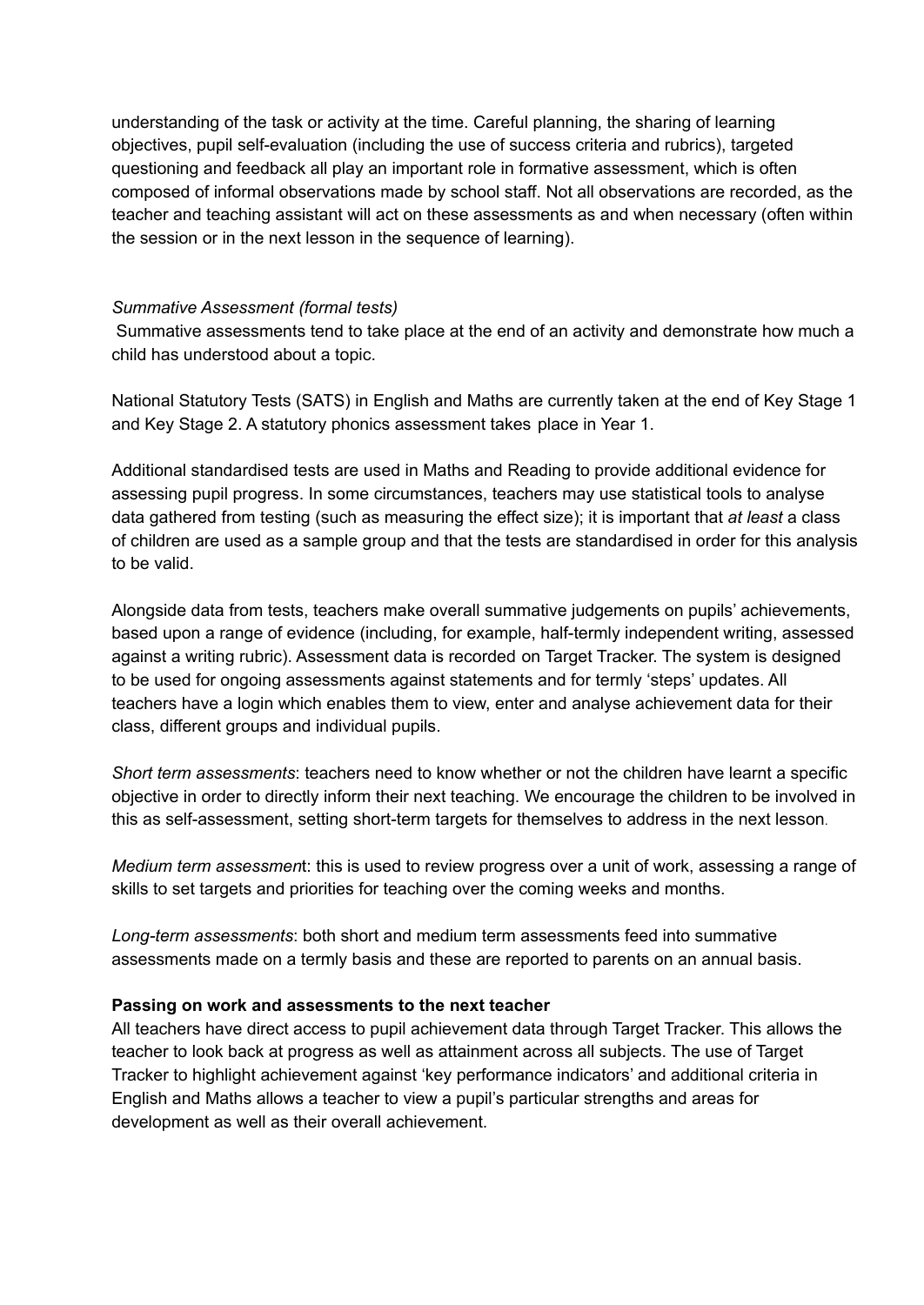understanding of the task or activity at the time. Careful planning, the sharing of learning objectives, pupil self-evaluation (including the use of success criteria and rubrics), targeted questioning and feedback all play an important role in formative assessment, which is often composed of informal observations made by school staff. Not all observations are recorded, as the teacher and teaching assistant will act on these assessments as and when necessary (often within the session or in the next lesson in the sequence of learning).

#### *Summative Assessment (formal tests)*

Summative assessments tend to take place at the end of an activity and demonstrate how much a child has understood about a topic.

National Statutory Tests (SATS) in English and Maths are currently taken at the end of Key Stage 1 and Key Stage 2. A statutory phonics assessment takes place in Year 1.

Additional standardised tests are used in Maths and Reading to provide additional evidence for assessing pupil progress. In some circumstances, teachers may use statistical tools to analyse data gathered from testing (such as measuring the effect size); it is important that *at least* a class of children are used as a sample group and that the tests are standardised in order for this analysis to be valid.

Alongside data from tests, teachers make overall summative judgements on pupils' achievements, based upon a range of evidence (including, for example, half-termly independent writing, assessed against a writing rubric). Assessment data is recorded on Target Tracker. The system is designed to be used for ongoing assessments against statements and for termly 'steps' updates. All teachers have a login which enables them to view, enter and analyse achievement data for their class, different groups and individual pupils.

*Short term assessments*: teachers need to know whether or not the children have learnt a specific objective in order to directly inform their next teaching. We encourage the children to be involved in this as self-assessment, setting short-term targets for themselves to address in the next lesson.

*Medium term assessmen*t: this is used to review progress over a unit of work, assessing a range of skills to set targets and priorities for teaching over the coming weeks and months.

*Long-term assessments*: both short and medium term assessments feed into summative assessments made on a termly basis and these are reported to parents on an annual basis.

#### **Passing on work and assessments to the next teacher**

All teachers have direct access to pupil achievement data through Target Tracker. This allows the teacher to look back at progress as well as attainment across all subjects. The use of Target Tracker to highlight achievement against 'key performance indicators' and additional criteria in English and Maths allows a teacher to view a pupil's particular strengths and areas for development as well as their overall achievement.